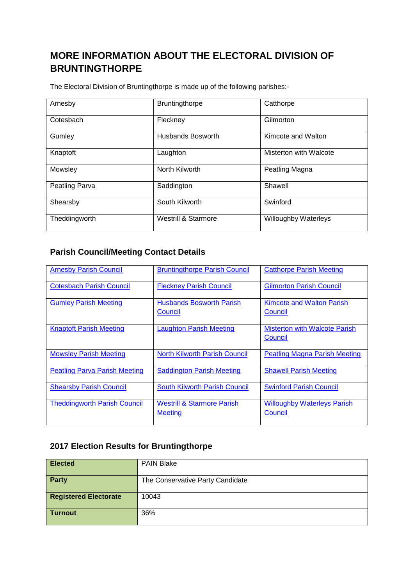## **MORE INFORMATION ABOUT THE ELECTORAL DIVISION OF BRUNTINGTHORPE**

The Electoral Division of Bruntingthorpe is made up of the following parishes:-

| Arnesby        | Bruntingthorpe                 | Catthorpe              |  |
|----------------|--------------------------------|------------------------|--|
| Cotesbach      | Fleckney                       | Gilmorton              |  |
| Gumley         | Husbands Bosworth              | Kimcote and Walton     |  |
| Knaptoft       | Laughton                       | Misterton with Walcote |  |
| Mowsley        | North Kilworth                 | Peatling Magna         |  |
| Peatling Parva | Saddington                     | Shawell                |  |
| Shearsby       | South Kilworth                 | Swinford               |  |
| Theddingworth  | <b>Westrill &amp; Starmore</b> | Willoughby Waterleys   |  |

## **Parish Council/Meeting Contact Details**

| <b>Arnesby Parish Council</b>        | <b>Bruntingthorpe Parish Council</b>                    | <b>Catthorpe Parish Meeting</b>                 |
|--------------------------------------|---------------------------------------------------------|-------------------------------------------------|
| <b>Cotesbach Parish Council</b>      | <b>Fleckney Parish Council</b>                          | <b>Gilmorton Parish Council</b>                 |
| <b>Gumley Parish Meeting</b>         | <b>Husbands Bosworth Parish</b><br>Council              | <b>Kimcote and Walton Parish</b><br>Council     |
| <b>Knaptoft Parish Meeting</b>       | <b>Laughton Parish Meeting</b>                          | <b>Misterton with Walcote Parish</b><br>Council |
| <b>Mowsley Parish Meeting</b>        | <b>North Kilworth Parish Council</b>                    | <b>Peatling Magna Parish Meeting</b>            |
| <b>Peatling Parva Parish Meeting</b> | <b>Saddington Parish Meeting</b>                        | <b>Shawell Parish Meeting</b>                   |
| <b>Shearsby Parish Council</b>       | South Kilworth Parish Council                           | <b>Swinford Parish Council</b>                  |
| <b>Theddingworth Parish Council</b>  | <b>Westrill &amp; Starmore Parish</b><br><b>Meeting</b> | <b>Willoughby Waterleys Parish</b><br>Council   |

## **2017 Election Results for Bruntingthorpe**

| <b>Elected</b>               | <b>PAIN Blake</b>                |
|------------------------------|----------------------------------|
| Party                        | The Conservative Party Candidate |
| <b>Registered Electorate</b> | 10043                            |
| <b>Turnout</b>               | 36%                              |